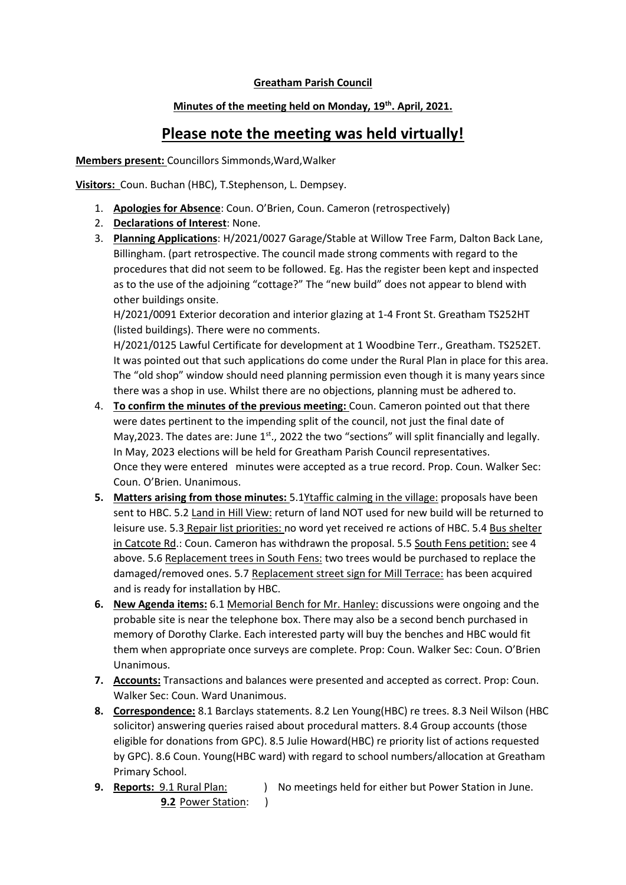### **Greatham Parish Council**

## **Minutes of the meeting held on Monday, 19th. April, 2021.**

# **Please note the meeting was held virtually!**

**Members present:** Councillors Simmonds,Ward,Walker

**Visitors:** Coun. Buchan (HBC), T.Stephenson, L. Dempsey.

- 1. **Apologies for Absence**: Coun. O'Brien, Coun. Cameron (retrospectively)
- 2. **Declarations of Interest**: None.
- 3. **Planning Applications**: H/2021/0027 Garage/Stable at Willow Tree Farm, Dalton Back Lane, Billingham. (part retrospective. The council made strong comments with regard to the procedures that did not seem to be followed. Eg. Has the register been kept and inspected as to the use of the adjoining "cottage?" The "new build" does not appear to blend with other buildings onsite.

H/2021/0091 Exterior decoration and interior glazing at 1-4 Front St. Greatham TS252HT (listed buildings). There were no comments.

H/2021/0125 Lawful Certificate for development at 1 Woodbine Terr., Greatham. TS252ET. It was pointed out that such applications do come under the Rural Plan in place for this area. The "old shop" window should need planning permission even though it is many years since there was a shop in use. Whilst there are no objections, planning must be adhered to.

- 4. **To confirm the minutes of the previous meeting:** Coun. Cameron pointed out that there were dates pertinent to the impending split of the council, not just the final date of May, 2023. The dates are: June 1<sup>st</sup>., 2022 the two "sections" will split financially and legally. In May, 2023 elections will be held for Greatham Parish Council representatives. Once they were entered minutes were accepted as a true record. Prop. Coun. Walker Sec: Coun. O'Brien. Unanimous.
- **5. Matters arising from those minutes:** 5.1Ytaffic calming in the village: proposals have been sent to HBC. 5.2 Land in Hill View: return of land NOT used for new build will be returned to leisure use. 5.3 Repair list priorities: no word yet received re actions of HBC. 5.4 Bus shelter in Catcote Rd.: Coun. Cameron has withdrawn the proposal. 5.5 South Fens petition: see 4 above. 5.6 Replacement trees in South Fens: two trees would be purchased to replace the damaged/removed ones. 5.7 Replacement street sign for Mill Terrace: has been acquired and is ready for installation by HBC.
- **6. New Agenda items:** 6.1 Memorial Bench for Mr. Hanley: discussions were ongoing and the probable site is near the telephone box. There may also be a second bench purchased in memory of Dorothy Clarke. Each interested party will buy the benches and HBC would fit them when appropriate once surveys are complete. Prop: Coun. Walker Sec: Coun. O'Brien Unanimous.
- **7. Accounts:** Transactions and balances were presented and accepted as correct. Prop: Coun. Walker Sec: Coun. Ward Unanimous.
- **8. Correspondence:** 8.1 Barclays statements. 8.2 Len Young(HBC) re trees. 8.3 Neil Wilson (HBC solicitor) answering queries raised about procedural matters. 8.4 Group accounts (those eligible for donations from GPC). 8.5 Julie Howard(HBC) re priority list of actions requested by GPC). 8.6 Coun. Young(HBC ward) with regard to school numbers/allocation at Greatham Primary School.
- **9. Reports:** 9.1 Rural *Plan:* ) No meetings held for either but Power Station in June. **9.2** Power Station: )